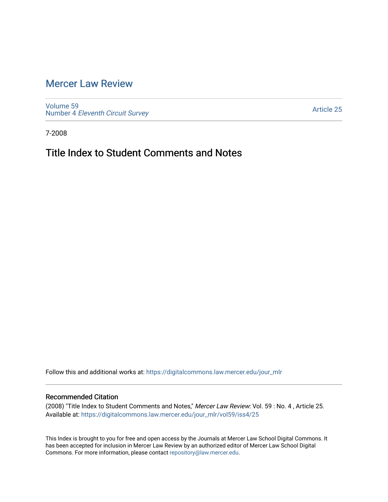## [Mercer Law Review](https://digitalcommons.law.mercer.edu/jour_mlr)

[Volume 59](https://digitalcommons.law.mercer.edu/jour_mlr/vol59) Number 4 [Eleventh Circuit Survey](https://digitalcommons.law.mercer.edu/jour_mlr/vol59/iss4) 

[Article 25](https://digitalcommons.law.mercer.edu/jour_mlr/vol59/iss4/25) 

7-2008

## Title Index to Student Comments and Notes

Follow this and additional works at: [https://digitalcommons.law.mercer.edu/jour\\_mlr](https://digitalcommons.law.mercer.edu/jour_mlr?utm_source=digitalcommons.law.mercer.edu%2Fjour_mlr%2Fvol59%2Fiss4%2F25&utm_medium=PDF&utm_campaign=PDFCoverPages)

## Recommended Citation

(2008) "Title Index to Student Comments and Notes," Mercer Law Review: Vol. 59 : No. 4 , Article 25. Available at: [https://digitalcommons.law.mercer.edu/jour\\_mlr/vol59/iss4/25](https://digitalcommons.law.mercer.edu/jour_mlr/vol59/iss4/25?utm_source=digitalcommons.law.mercer.edu%2Fjour_mlr%2Fvol59%2Fiss4%2F25&utm_medium=PDF&utm_campaign=PDFCoverPages) 

This Index is brought to you for free and open access by the Journals at Mercer Law School Digital Commons. It has been accepted for inclusion in Mercer Law Review by an authorized editor of Mercer Law School Digital Commons. For more information, please contact [repository@law.mercer.edu.](mailto:repository@law.mercer.edu)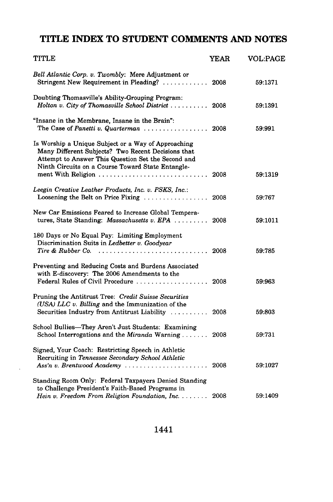## **TITLE INDEX TO STUDENT COMMENTS AND NOTES**

| <b>TITLE</b>                                                                                                                                                                                                                                     | YEAR | <b>VOL:PAGE</b> |
|--------------------------------------------------------------------------------------------------------------------------------------------------------------------------------------------------------------------------------------------------|------|-----------------|
| Bell Atlantic Corp. v. Twombly: Mere Adjustment or<br>Stringent New Requirement in Pleading?                                                                                                                                                     | 2008 | 59:1371         |
| Doubting Thomasville's Ability-Grouping Program:<br>Holton v. City of Thomasville School District  2008                                                                                                                                          |      | 59:1391         |
| "Insane in the Membrane, Insane in the Brain":<br>The Case of Panetti v. Quarterman $\ldots \ldots \ldots \ldots \ldots$                                                                                                                         | 2008 | 59:991          |
| Is Worship a Unique Subject or a Way of Approaching<br>Many Different Subjects? Two Recent Decisions that<br>Attempt to Answer This Question Set the Second and<br>Ninth Circuits on a Course Toward State Entangle-<br>ment With Religion  2008 |      | 59:1319         |
|                                                                                                                                                                                                                                                  |      |                 |
| Leegin Creative Leather Products, Inc. v. PSKS, Inc.:<br>Loosening the Belt on Price Fixing $\ldots \ldots \ldots \ldots$                                                                                                                        | 2008 | 59:767          |
| New Car Emissions Feared to Increase Global Tempera-<br>tures, State Standing: Massachusetts v. EPA  2008                                                                                                                                        |      | 59:1011         |
| 180 Days or No Equal Pay: Limiting Employment<br>Discrimination Suits in Ledbetter v. Goodyear<br>Tire & Rubber Co. $\ldots \ldots \ldots \ldots \ldots \ldots \ldots \ldots \ldots$                                                             | 2008 | 59:785          |
| Preventing and Reducing Costs and Burdens Associated<br>with E-discovery: The 2006 Amendments to the<br>Federal Rules of Civil Procedure                                                                                                         | 2008 | 59:963          |
| Pruning the Antitrust Tree: Credit Suisse Securities<br>(USA) LLC v. Billing and the Immunization of the<br>Securities Industry from Antitrust Liability  2008                                                                                   |      | 59:803          |
| School Bullies-They Aren't Just Students: Examining<br>School Interrogations and the Miranda Warning  2008                                                                                                                                       |      | 59:731          |
| Signed, Your Coach: Restricting Speech in Athletic<br>Recruiting in Tennessee Secondary School Athletic                                                                                                                                          |      | 59:1027         |
| Standing Room Only: Federal Taxpayers Denied Standing<br>to Challenge President's Faith-Based Programs in<br>Hein v. Freedom From Religion Foundation, Inc.                                                                                      | 2008 | 59:1409         |